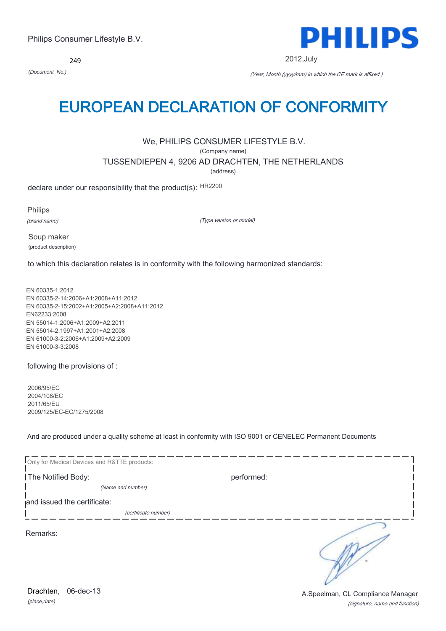249



2012,July

*(Document No.)* (Year, Month (yyyy/mm) in which the CE mark is affixed )

## EUROPEAN DECLARATION OF CONFORMITY

## We, PHILIPS CONSUMER LIFESTYLE B.V.

(Company name)

TUSSENDIEPEN 4, 9206 AD DRACHTEN, THE NETHERLANDS

(address)

declare under our responsibility that the product(s): HR2200

Philips

(brand name)

(Type version or model)

Soup maker (product description)

to which this declaration relates is in conformity with the following harmonized standards:

EN 60335-1:2012 EN 60335-2-14:2006+A1:2008+A11:2012 EN 60335-2-15:2002+A1:2005+A2:2008+A11:2012 EN62233:2008 EN 55014-1:2006+A1:2009+A2:2011 EN 55014-2:1997+A1:2001+A2:2008 EN 61000-3-2:2006+A1:2009+A2:2009 EN 61000-3-3:2008

following the provisions of :

2006/95/EC 2004/108/EC 2011/65/EU 2009/125/EC-EC/1275/2008

And are produced under a quality scheme at least in conformity with ISO 9001 or CENELEC Permanent Documents

| Only for Medical Devices and R&TTE products: |            |  |
|----------------------------------------------|------------|--|
| The Notified Body:                           | performed: |  |
| (Name and number)                            |            |  |
| and issued the certificate:                  |            |  |
| (certificate number)                         |            |  |
| Remarks:                                     |            |  |

*(place,date)* Drachten, 06-dec-13

(signature, name and function) A.Speelman, CL Compliance Manager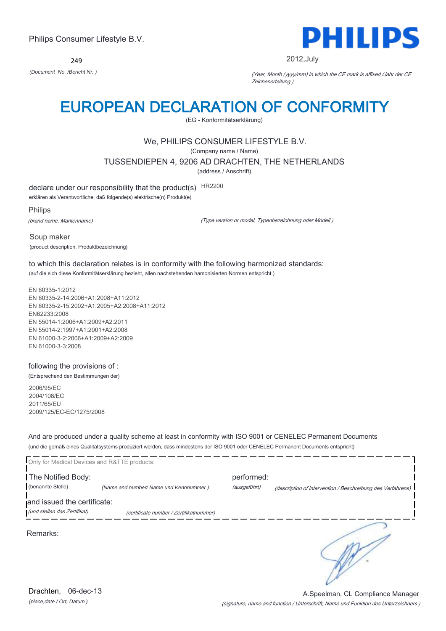249



2012,July

*(Document No. /Bericht Nr. )* (Year, Month (yyyy/mm) in which the CE mark is affixed /Jahr der CE Zeichenerteilung )

# EUROPEAN DECLARATION OF CONFORMITY

(EG - Konformitätserklärung)

## We, PHILIPS CONSUMER LIFESTYLE B.V.

(Company name / Name)

TUSSENDIEPEN 4, 9206 AD DRACHTEN, THE NETHERLANDS

(address / Anschrift)

declare under our responsibility that the product(s) HR2200

erklären als Verantwortliche, daß folgende(s) elektrische(n) Produkt(e)

Philips

(brand name, Markenname)

(Type version or model, Typenbezeichnung oder Modell )

Soup maker (product description, Produktbezeichnung)

to which this declaration relates is in conformity with the following harmonized standards: (auf die sich diese Konformitätserklärung bezieht, allen nachstehenden hamonisierten Normen entspricht.)

EN 60335-1:2012 EN 60335-2-14:2006+A1:2008+A11:2012 EN 60335-2-15:2002+A1:2005+A2:2008+A11:2012 EN62233:2008 EN 55014-1:2006+A1:2009+A2:2011 EN 55014-2:1997+A1:2001+A2:2008 EN 61000-3-2:2006+A1:2009+A2:2009 EN 61000-3-3:2008

## following the provisions of :

(Entsprechend den Bestimmungen der)

2006/95/EC 2004/108/EC 2011/65/EU 2009/125/EC-EC/1275/2008

And are produced under a quality scheme at least in conformity with ISO 9001 or CENELEC Permanent Documents (und die gemäß eines Qualitätsystems produziert werden, dass mindestens der ISO 9001 oder CENELEC Permanent Documents entspricht)

| Only for Medical Devices and R&TTE products:                |                                         |                            |                                                             |
|-------------------------------------------------------------|-----------------------------------------|----------------------------|-------------------------------------------------------------|
| The Notified Body:<br>(benannte Stelle)                     | (Name and number/ Name und Kennnummer)  | performed:<br>(ausgeführt) | (description of intervention / Beschreibung des Verfahrens) |
| and issued the certificate:<br>(und stellen das Zertifikat) | (certificate number / Zertifikatnummer) |                            |                                                             |
| Remarks:                                                    |                                         |                            |                                                             |

*(place,date / Ort, Datum )* Drachten, 06-dec-13

(signature, name and function / Unterschrift, Name und Funktion des Unterzeichners ) A.Speelman, CL Compliance Manager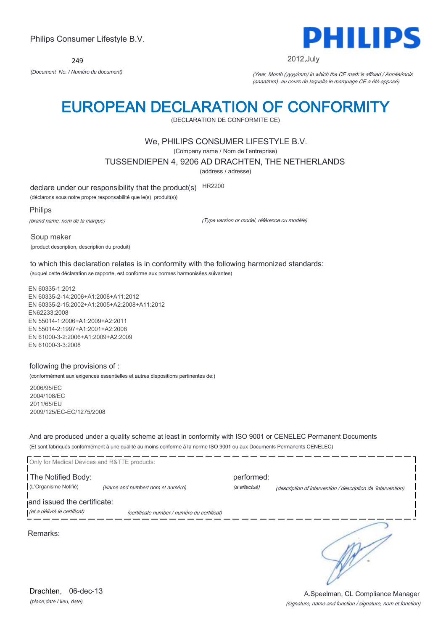$249$ 



2012,July

*(Document No. / Numéro du document)* (Year, Month (yyyy/mm) in which the CE mark is affixed / Année/mois (aaaa/mm) au cours de laquelle le marquage CE a été apposé)

# EUROPEAN DECLARATION OF CONFORMITY

(DECLARATION DE CONFORMITE CE)

## We, PHILIPS CONSUMER LIFESTYLE B.V.

(Company name / Nom de l'entreprise)

TUSSENDIEPEN 4, 9206 AD DRACHTEN, THE NETHERLANDS

(address / adresse)

declare under our responsibility that the product(s) HR2200

(déclarons sous notre propre responsabilité que le(s) produit(s))

Philips

(brand name, nom de la marque)

(Type version or model, référence ou modèle)

Soup maker (product description, description du produit)

to which this declaration relates is in conformity with the following harmonized standards: (auquel cette déclaration se rapporte, est conforme aux normes harmonisées suivantes)

EN 60335-1:2012 EN 60335-2-14:2006+A1:2008+A11:2012 EN 60335-2-15:2002+A1:2005+A2:2008+A11:2012 EN62233:2008 EN 55014-1:2006+A1:2009+A2:2011 EN 55014-2:1997+A1:2001+A2:2008 EN 61000-3-2:2006+A1:2009+A2:2009 EN 61000-3-3:2008

### following the provisions of :

(conformément aux exigences essentielles et autres dispositions pertinentes de:)

2006/95/EC 2004/108/EC 2011/65/EU 2009/125/EC-EC/1275/2008

And are produced under a quality scheme at least in conformity with ISO 9001 or CENELEC Permanent Documents (Et sont fabriqués conformément à une qualité au moins conforme à la norme ISO 9001 ou aux Documents Permanents CENELEC)

| Only for Medical Devices and R&TTE products:                |                                             |                            |                                                              |
|-------------------------------------------------------------|---------------------------------------------|----------------------------|--------------------------------------------------------------|
| The Notified Body:<br>(L'Organisme Notifié)                 | (Name and number/ nom et numéro)            | performed:<br>(a effectué) | (description of intervention / description de 'intervention) |
| and issued the certificate:<br>(et a délivré le certificat) | (certificate number / numéro du certificat) |                            |                                                              |
| Remarks:                                                    |                                             |                            |                                                              |
|                                                             |                                             |                            |                                                              |
|                                                             |                                             |                            |                                                              |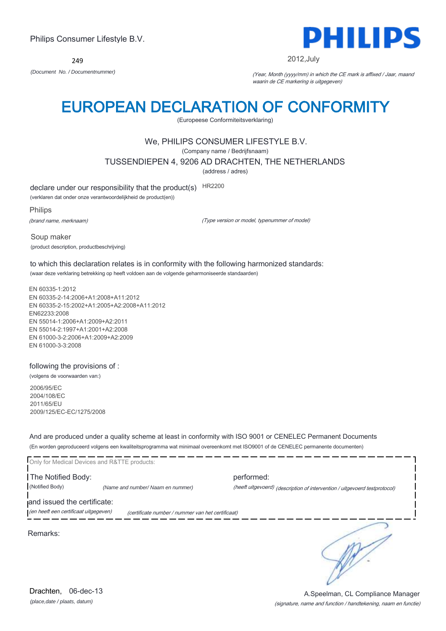249



2012,July

*(Document No. / Documentnummer)* (Year, Month (yyyy/mm) in which the CE mark is affixed / Jaar, maand waarin de CE markering is uitgegeven)

# EUROPEAN DECLARATION OF CONFORMITY

(Europeese Conformiteitsverklaring)

## We, PHILIPS CONSUMER LIFESTYLE B.V.

(Company name / Bedrijfsnaam)

TUSSENDIEPEN 4, 9206 AD DRACHTEN, THE NETHERLANDS

(address / adres)

declare under our responsibility that the product(s) HR2200

(verklaren dat onder onze verantwoordelijkheid de product(en))

Philips

(brand name, merknaam)

(Type version or model, typenummer of model)

Soup maker (product description, productbeschrijving)

to which this declaration relates is in conformity with the following harmonized standards: (waar deze verklaring betrekking op heeft voldoen aan de volgende geharmoniseerde standaarden)

EN 60335-1:2012 EN 60335-2-14:2006+A1:2008+A11:2012 EN 60335-2-15:2002+A1:2005+A2:2008+A11:2012 EN62233:2008 EN 55014-1:2006+A1:2009+A2:2011 EN 55014-2:1997+A1:2001+A2:2008 EN 61000-3-2:2006+A1:2009+A2:2009 EN 61000-3-3:2008

following the provisions of :

(volgens de voorwaarden van:) 2006/95/EC

2004/108/EC 2011/65/EU 2009/125/EC-EC/1275/2008

And are produced under a quality scheme at least in conformity with ISO 9001 or CENELEC Permanent Documents (En worden geproduceerd volgens een kwaliteitsprogramma wat minimaal overeenkomt met ISO9001 of de CENELEC permanente documenten)

|                                       | Only for Medical Devices and R&TTE products:      |                                                                            |
|---------------------------------------|---------------------------------------------------|----------------------------------------------------------------------------|
| The Notified Body:                    |                                                   | performed:                                                                 |
| (Notified Body)                       | (Name and number/ Naam en nummer)                 | (heeft uitgevoerd) (description of intervention / uitgevoerd testprotocol) |
| and issued the certificate:           |                                                   |                                                                            |
| (en heeft een certificaat uitgegeven) | (certificate number / nummer van het certificaat) |                                                                            |
| Remarks:                              |                                                   |                                                                            |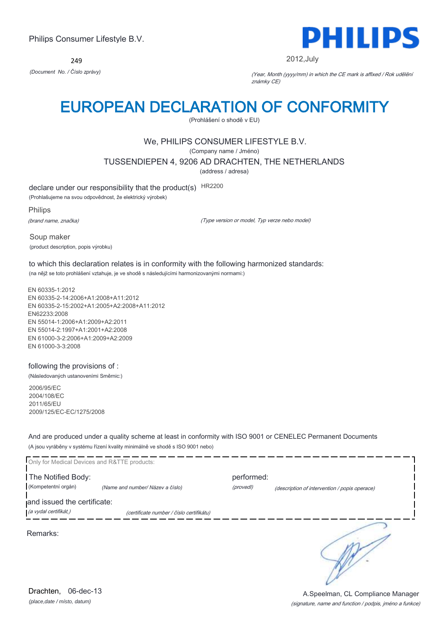$249$ 



2012,July

*(Document No. / Číslo zprávy)* (Year, Month (yyyy/mm) in which the CE mark is affixed / Rok udělění známky CE)

# EUROPEAN DECLARATION OF CONFORMITY

(Prohlášení o shodě v EU)

## We, PHILIPS CONSUMER LIFESTYLE B.V.

(Company name / Jméno)

TUSSENDIEPEN 4, 9206 AD DRACHTEN, THE NETHERLANDS

(address / adresa)

declare under our responsibility that the product(s) HR2200

(Prohlašujeme na svou odpovědnost, že elektrický výrobek)

Philips

(brand name, značka)

(Type version or model, Typ verze nebo model)

Soup maker (product description, popis výrobku)

to which this declaration relates is in conformity with the following harmonized standards: (na nějž se toto prohlášení vztahuje, je ve shodě s následujícími harmonizovanými normami:)

EN 60335-1:2012 EN 60335-2-14:2006+A1:2008+A11:2012 EN 60335-2-15:2002+A1:2005+A2:2008+A11:2012 EN62233:2008 EN 55014-1:2006+A1:2009+A2:2011 EN 55014-2:1997+A1:2001+A2:2008 EN 61000-3-2:2006+A1:2009+A2:2009 EN 61000-3-3:2008

### following the provisions of :

(Následovaných ustanoveními Směrnic:)

2006/95/EC 2004/108/EC 2011/65/EU 2009/125/EC-EC/1275/2008

And are produced under a quality scheme at least in conformity with ISO 9001 or CENELEC Permanent Documents (A jsou vyráběny v systému řízení kvality minimálně ve shodě s ISO 9001 nebo)

| Only for Medical Devices and R&TTE products: |                                          |            |                                               |
|----------------------------------------------|------------------------------------------|------------|-----------------------------------------------|
| The Notified Body:                           |                                          | performed: |                                               |
| (Kompetentní orgán)                          | (Name and number/ Název a číslo)         | (provedl)  | (description of intervention / popis operace) |
| and issued the certificate:                  |                                          |            |                                               |
| (a vydal certifikát,)                        | (certificate number / číslo certifikátu) |            |                                               |
| Remarks:                                     |                                          |            |                                               |

*(place,date / místo, datum)* Drachten, 06-dec-13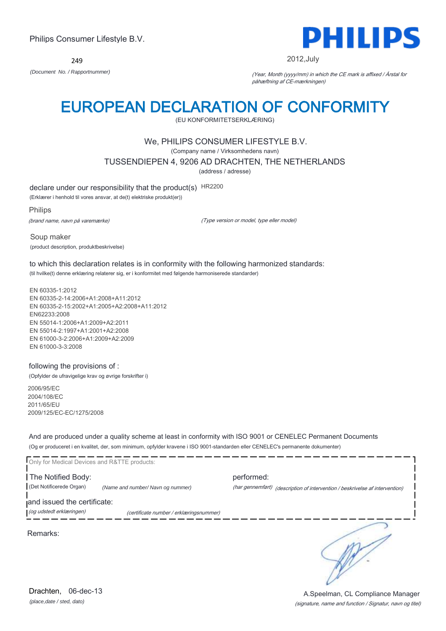249



2012,July

*(Document No. / Rapportnummer)* (Year, Month (yyyy/mm) in which the CE mark is affixed / Årstal for påhæftning af CE-mærkningen)

# EUROPEAN DECLARATION OF CONFORMITY

(EU KONFORMITETSERKLÆRING)

## We, PHILIPS CONSUMER LIFESTYLE B.V.

(Company name / Virksomhedens navn)

TUSSENDIEPEN 4, 9206 AD DRACHTEN, THE NETHERLANDS

(address / adresse)

declare under our responsibility that the product(s) HR2200

(Erklærer i henhold til vores ansvar, at de(t) elektriske produkt(er))

Philips

(brand name, navn på varemærke)

(Type version or model, type eller model)

Soup maker (product description, produktbeskrivelse)

to which this declaration relates is in conformity with the following harmonized standards: (til hvilke(t) denne erklæring relaterer sig, er i konformitet med følgende harmoniserede standarder)

EN 60335-1:2012 EN 60335-2-14:2006+A1:2008+A11:2012 EN 60335-2-15:2002+A1:2005+A2:2008+A11:2012 EN62233:2008 EN 55014-1:2006+A1:2009+A2:2011 EN 55014-2:1997+A1:2001+A2:2008 EN 61000-3-2:2006+A1:2009+A2:2009 EN 61000-3-3:2008

### following the provisions of :

(Opfylder de ufravigelige krav og øvrige forskrifter i)

2006/95/EC 2004/108/EC 2011/65/EU 2009/125/EC-EC/1275/2008

And are produced under a quality scheme at least in conformity with ISO 9001 or CENELEC Permanent Documents (Og er produceret i en kvalitet, der, som minimum, opfylder kravene i ISO 9001-standarden eller CENELEC's permanente dokumenter)

| Only for Medical Devices and R&TTE products:            |                                         |            |                                                                              |
|---------------------------------------------------------|-----------------------------------------|------------|------------------------------------------------------------------------------|
| The Notified Body:<br>(Det Notificerede Organ)          | (Name and number/Navn og nummer)        | performed: | (har gennemført) (description of intervention / beskrivelse af intervention) |
| and issued the certificate:<br>(og udstedt erklæringen) | (certificate number / erklæringsnummer) |            |                                                                              |
|                                                         |                                         |            |                                                                              |

Remarks:

 $\mathscr{R}$ 

*(place,date / sted, dato)* Drachten. 06-dec-13

#### (signature, name and function / Signatur, navn og titel) A.Speelman, CL Compliance Manager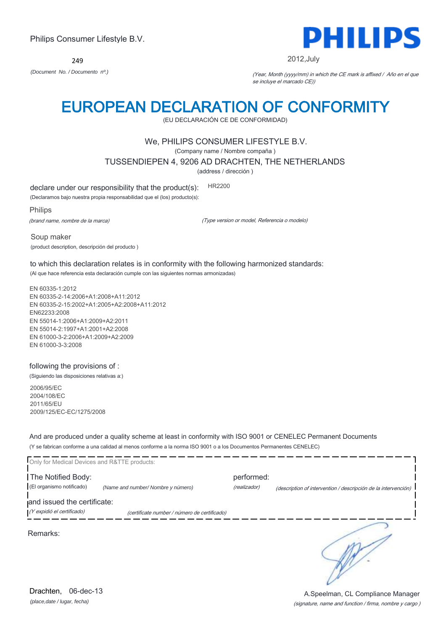249



#### 2012,July

*(Document No. / Documento nº.)* (Year, Month (yyyy/mm) in which the CE mark is affixed / Año en el que se incluye el marcado CE))

## EUROPEAN DECLARATION OF CONFORMITY

(EU DECLARACIÓN CE DE CONFORMIDAD)

### We, PHILIPS CONSUMER LIFESTYLE B.V.

(Company name / Nombre compaña )

TUSSENDIEPEN 4, 9206 AD DRACHTEN, THE NETHERLANDS

(address / dirección )

declare under our responsibility that the product(s): HR2200

(Declaramos bajo nuestra propia responsabilidad que el (los) producto(s):

Philips

(brand name, nombre de la marca)

(Type version or model, Referencia o modelo)

Soup maker (product description, descripción del producto )

to which this declaration relates is in conformity with the following harmonized standards: (Al que hace referencia esta declaración cumple con las siguientes normas armonizadas)

EN 60335-1:2012 EN 60335-2-14:2006+A1:2008+A11:2012 EN 60335-2-15:2002+A1:2005+A2:2008+A11:2012 EN62233:2008 EN 55014-1:2006+A1:2009+A2:2011 EN 55014-2:1997+A1:2001+A2:2008 EN 61000-3-2:2006+A1:2009+A2:2009 EN 61000-3-3:2008

### following the provisions of :

(Siguiendo las disposiciones relativas a:)

2006/95/EC 2004/108/EC 2011/65/EU 2009/125/EC-EC/1275/2008

And are produced under a quality scheme at least in conformity with ISO 9001 or CENELEC Permanent Documents (Y se fabrican conforme a una calidad al menos conforme a la norma ISO 9001 o a los Documentos Permanentes CENELEC)

| Only for Medical Devices and R&TTE products:              |                                              |                            |                                                                |
|-----------------------------------------------------------|----------------------------------------------|----------------------------|----------------------------------------------------------------|
| The Notified Body:<br>(El organismo notificado)           | (Name and number/ Nombre y número)           | performed:<br>(realizador) | (description of intervention / descripción de la intervención) |
| and issued the certificate:<br>(Y expidió el certificado) | (certificate number / número de certificado) |                            |                                                                |
| Remarks:                                                  |                                              |                            |                                                                |
|                                                           |                                              |                            |                                                                |

*(place,date / lugar, fecha)* Drachten, 06-dec-13

(signature, name and function / firma, nombre y cargo ) A.Speelman, CL Compliance Manager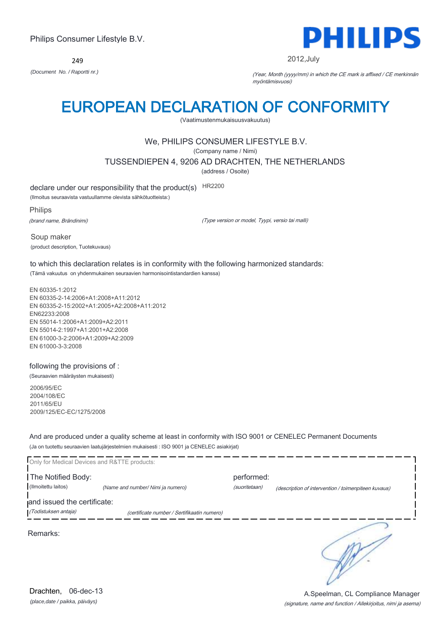249



2012,July

*(Document No. / Raportti nr.)* (Year, Month (yyyy/mm) in which the CE mark is affixed / CE merkinnän myöntämisvuosi)

# EUROPEAN DECLARATION OF CONFORMITY

(Vaatimustenmukaisuusvakuutus)

## We, PHILIPS CONSUMER LIFESTYLE B.V.

(Company name / Nimi)

### TUSSENDIEPEN 4, 9206 AD DRACHTEN, THE NETHERLANDS

(address / Osoite)

declare under our responsibility that the product(s) HR2200

(Ilmoitus seuraavista vastuullamme olevista sähkötuotteista:)

Philips

(brand name, Brändinimi)

(Type version or model, Tyypi, versio tai malli)

Soup maker (product description, Tuotekuvaus)

to which this declaration relates is in conformity with the following harmonized standards: (Tämä vakuutus on yhdenmukainen seuraavien harmonisointistandardien kanssa)

EN 60335-1:2012 EN 60335-2-14:2006+A1:2008+A11:2012 EN 60335-2-15:2002+A1:2005+A2:2008+A11:2012 EN62233:2008 EN 55014-1:2006+A1:2009+A2:2011 EN 55014-2:1997+A1:2001+A2:2008 EN 61000-3-2:2006+A1:2009+A2:2009 EN 61000-3-3:2008

### following the provisions of :

(Seuraavien määräysten mukaisesti)

2006/95/EC 2004/108/EC 2011/65/EU 2009/125/EC-EC/1275/2008

And are produced under a quality scheme at least in conformity with ISO 9001 or CENELEC Permanent Documents (Ja on tuotettu seuraavien laatujärjestelmien mukaisesti : ISO 9001 ja CENELEC asiakirjat)

| Only for Medical Devices and R&TTE products: |                                             |                             |                                                     |
|----------------------------------------------|---------------------------------------------|-----------------------------|-----------------------------------------------------|
| The Notified Body:<br>(Ilmoitettu laitos)    | (Name and number/ Nimi ja numero)           | performed:<br>(suoritetaan) | (description of intervention / toimenpiteen kuvaus) |
| and issued the certificate:                  |                                             |                             |                                                     |
| (Todistuksen antaja)                         | (certificate number / Sertifikaatin numero) |                             |                                                     |
| Remarks:                                     |                                             |                             |                                                     |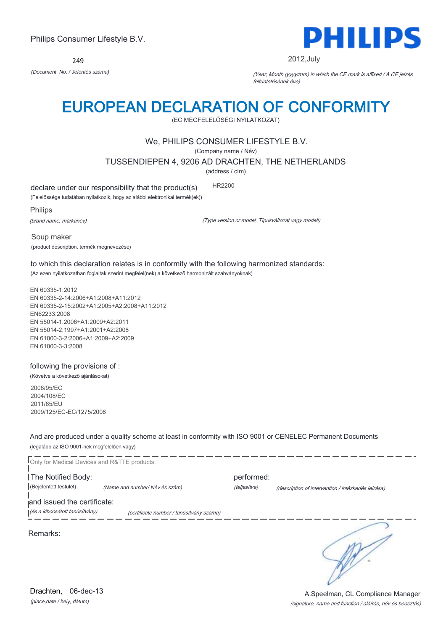$249$ 



2012,July

*(Document No. / Jelentés száma)* (Year, Month (yyyy/mm) in which the CE mark is affixed / A CE jelzés feltüntetésének éve)

# EUROPEAN DECLARATION OF CONFORMITY

(EC MEGFELELŐSÉGI NYILATKOZAT)

## We, PHILIPS CONSUMER LIFESTYLE B.V.

(Company name / Név)

TUSSENDIEPEN 4, 9206 AD DRACHTEN, THE NETHERLANDS

(address / cím)

declare under our responsibility that the product(s) HR2200

(Felelőssége tudatában nyilatkozik, hogy az alábbi elektronikai termék(ek))

Philips

(brand name, márkanév)

(Type version or model, Típusváltozat vagy modell)

Soup maker (product description, termék megnevezése)

to which this declaration relates is in conformity with the following harmonized standards: (Az ezen nyilatkozatban foglaltak szerint megfelel(nek) a következő harmonizált szabványoknak)

EN 60335-1:2012 EN 60335-2-14:2006+A1:2008+A11:2012 EN 60335-2-15:2002+A1:2005+A2:2008+A11:2012 EN62233:2008 EN 55014-1:2006+A1:2009+A2:2011 EN 55014-2:1997+A1:2001+A2:2008 EN 61000-3-2:2006+A1:2009+A2:2009 EN 61000-3-3:2008

following the provisions of :

(Követve a következő ajánlásokat)

2006/95/EC 2004/108/EC 2011/65/EU 2009/125/EC-EC/1275/2008

And are produced under a quality scheme at least in conformity with ISO 9001 or CENELEC Permanent Documents (legalább az ISO 9001-nek megfelelően vagy)



*(place,date / hely, dátum)* Drachten. 06-dec-13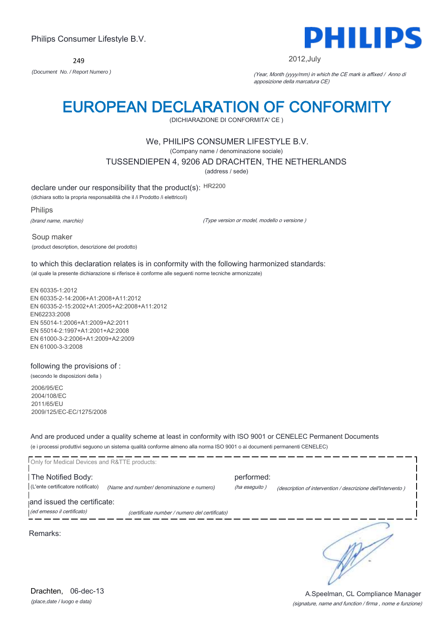249



2012,July

*(Document No. / Report Numero )* (Year, Month (yyyy/mm) in which the CE mark is affixed / Anno di apposizione della marcatura CE)

## EUROPEAN DECLARATION OF CONFORMITY

(DICHIARAZIONE DI CONFORMITA' CE )

### We, PHILIPS CONSUMER LIFESTYLE B.V.

(Company name / denominazione sociale)

TUSSENDIEPEN 4, 9206 AD DRACHTEN, THE NETHERLANDS

(address / sede)

declare under our responsibility that the product(s): HR2200

(dichiara sotto la propria responsabilità che il /i Prodotto /i elettrico/i)

Philips

(brand name, marchio)

(Type version or model, modello o versione )

Soup maker (product description, descrizione del prodotto)

to which this declaration relates is in conformity with the following harmonized standards: (al quale la presente dichiarazione si riferisce è conforme alle seguenti norme tecniche armonizzate)

EN 60335-1:2012 EN 60335-2-14:2006+A1:2008+A11:2012 EN 60335-2-15:2002+A1:2005+A2:2008+A11:2012 EN62233:2008 EN 55014-1:2006+A1:2009+A2:2011 EN 55014-2:1997+A1:2001+A2:2008 EN 61000-3-2:2006+A1:2009+A2:2009 EN 61000-3-3:2008

### following the provisions of :

(secondo le disposizioni della )

2006/95/EC 2004/108/EC 2011/65/EU 2009/125/EC-EC/1275/2008

And are produced under a quality scheme at least in conformity with ISO 9001 or CENELEC Permanent Documents (e i processi produttivi seguono un sistema qualità conforme almeno alla norma ISO 9001 o ai documenti permanenti CENELEC)

| Only for Medical Devices and R&TTE products: |                                               |               |                                                             |
|----------------------------------------------|-----------------------------------------------|---------------|-------------------------------------------------------------|
| The Notified Body:                           |                                               | performed:    |                                                             |
| (L'ente certificatore notificato)            | (Name and number/ denominazione e numero)     | (ha eseguito) | (description of intervention / descrizione dell'intervento) |
| and issued the certificate:                  |                                               |               |                                                             |
| (ed emesso il certificato)                   | (certificate number / numero del certificato) |               |                                                             |
| Remarks:                                     |                                               |               |                                                             |

(signature, name and function / firma , nome e funzione) A.Speelman, CL Compliance Manager

*(place,date / luogo e data)* Drachten, 06-dec-13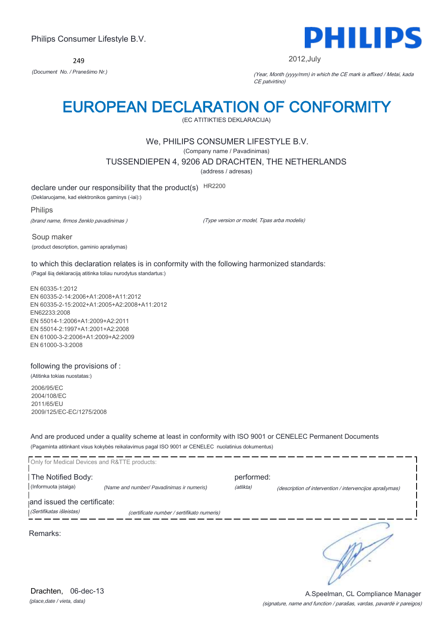249



2012,July

*(Document No. / Pranešimo Nr.)* (Year, Month (yyyy/mm) in which the CE mark is affixed / Metai, kada CE patvirtino)

# EUROPEAN DECLARATION OF CONFORMITY

(EC ATITIKTIES DEKLARACIJA)

## We, PHILIPS CONSUMER LIFESTYLE B.V.

(Company name / Pavadinimas)

TUSSENDIEPEN 4, 9206 AD DRACHTEN, THE NETHERLANDS

(address / adresas)

declare under our responsibility that the product(s) HR2200

(Deklaruojame, kad elektronikos gaminys (-iai):)

Philips

(brand name, firmos ženklo pavadinimas )

(Type version or model, Tipas arba modelis)

Soup maker (product description, gaminio aprašymas)

to which this declaration relates is in conformity with the following harmonized standards:

(Pagal šią deklaraciją atitinka toliau nurodytus standartus:)

EN 60335-1:2012 EN 60335-2-14:2006+A1:2008+A11:2012 EN 60335-2-15:2002+A1:2005+A2:2008+A11:2012 EN62233:2008 EN 55014-1:2006+A1:2009+A2:2011 EN 55014-2:1997+A1:2001+A2:2008 EN 61000-3-2:2006+A1:2009+A2:2009 EN 61000-3-3:2008

### following the provisions of :

(Atitinka tokias nuostatas:)

2006/95/EC 2004/108/EC 2011/65/EU 2009/125/EC-EC/1275/2008

And are produced under a quality scheme at least in conformity with ISO 9001 or CENELEC Permanent Documents (Pagaminta atitinkant visus kokybės reikalavimus pagal ISO 9001 ar CENELEC nuolatinius dokumentus)

| Only for Medical Devices and R&TTE products: |                                            |            |                                                         |
|----------------------------------------------|--------------------------------------------|------------|---------------------------------------------------------|
| The Notified Body:                           |                                            | performed: |                                                         |
| (Informuota istaiga)                         | (Name and number/ Pavadinimas ir numeris)  | (atlikta)  | (description of intervention / intervencijos aprašymas) |
| and issued the certificate:                  |                                            |            |                                                         |
| (Sertifikatas išleistas)                     | (certificate number / sertifikato numeris) |            |                                                         |
| Remarks:                                     |                                            |            |                                                         |
|                                              |                                            |            |                                                         |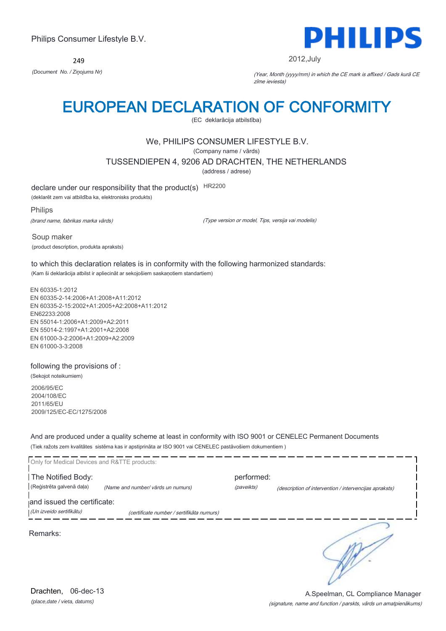249



2012,July

*(Document No. / Ziņojums Nr)* (Year, Month (yyyy/mm) in which the CE mark is affixed / Gads kurā CE zīme ieviesta)

# EUROPEAN DECLARATION OF CONFORMITY

(EC deklarācija atbilstība)

## We, PHILIPS CONSUMER LIFESTYLE B.V.

(Company name / vārds)

TUSSENDIEPEN 4, 9206 AD DRACHTEN, THE NETHERLANDS

(address / adrese)

declare under our responsibility that the product(s) HR2200

(deklarēt zem vai atbildība ka, elektronisks produkts)

Philips

(brand name, fabrikas marka vārds)

(Type version or model, Tips, versija vai modelis)

Soup maker (product description, produkta apraksts)

to which this declaration relates is in conformity with the following harmonized standards: (Kam ši deklarācija atbilst ir apliecināt ar sekojošiem saskaņotiem standartiem)

EN 60335-1:2012 EN 60335-2-14:2006+A1:2008+A11:2012 EN 60335-2-15:2002+A1:2005+A2:2008+A11:2012 EN62233:2008 EN 55014-1:2006+A1:2009+A2:2011 EN 55014-2:1997+A1:2001+A2:2008 EN 61000-3-2:2006+A1:2009+A2:2009 EN 61000-3-3:2008

### following the provisions of :

(Sekojot noteikumiem)

2006/95/EC 2004/108/EC 2011/65/EU 2009/125/EC-EC/1275/2008

And are produced under a quality scheme at least in conformity with ISO 9001 or CENELEC Permanent Documents (Tiek ražots zem kvalitātes sistēma kas ir apstiprināta ar ISO 9001 vai CENELEC pastāvošiem dokumentiem )

| Only for Medical Devices and R&TTE products:    |                                           |                          |                                                        |
|-------------------------------------------------|-------------------------------------------|--------------------------|--------------------------------------------------------|
| The Notified Body:<br>(Reģistrēta galvenā daļa) | (Name and number/ vārds un numurs)        | performed:<br>(paveikts) | (description of intervention / intervencijas apraksts) |
| and issued the certificate:                     |                                           |                          |                                                        |
| (Un izveido sertifikātu)                        | (certificate number / sertifikāta numurs) |                          |                                                        |
| Remarks:                                        |                                           |                          |                                                        |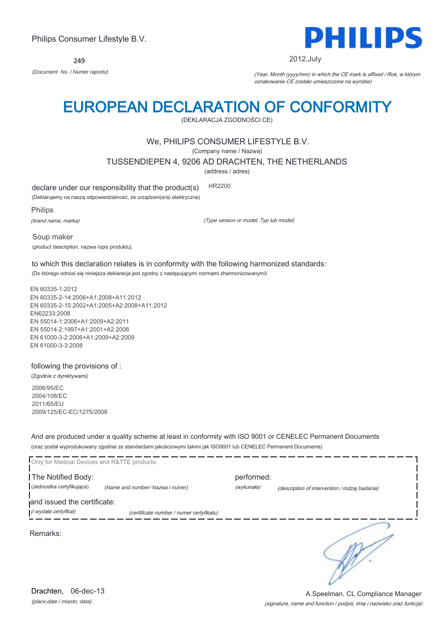249



#### 2012,July

*(Document No. / Numer raportu)* (Year, Month (yyyy/mm) in which the CE mark is affixed / Rok, w którym oznakowanie CE zostało umieszczone na wyrobie)

# EUROPEAN DECLARATION OF CONFORMITY

(DEKLARACJA ZGODNOŚCI CE)

### We, PHILIPS CONSUMER LIFESTYLE B.V.

(Company name / Nazwa)

TUSSENDIEPEN 4, 9206 AD DRACHTEN, THE NETHERLANDS

(address / adres)

declare under our responsibility that the product(s) HR2200

(Deklarujemy na naszą odpowiedzialność, że urządzeni(e/a) elektryczne)

Philips

(brand name, marka)

(Type version or model, Typ lub model)

Soup maker (product description, nazwa /opis produktu)

to which this declaration relates is in conformity with the following harmonized standards: (Do którego odnosi się niniejsza deklaracja jest zgodny z następującymi normami zharmonizowanymi)

EN 60335-1:2012 EN 60335-2-14:2006+A1:2008+A11:2012 EN 60335-2-15:2002+A1:2005+A2:2008+A11:2012 EN62233:2008 EN 55014-1:2006+A1:2009+A2:2011 EN 55014-2:1997+A1:2001+A2:2008 EN 61000-3-2:2006+A1:2009+A2:2009 EN 61000-3-3:2008

### following the provisions of :

(Zgodnie z dyrektywami) 2006/95/EC 2004/108/EC 2011/65/EU

2009/125/EC-EC/1275/2008

And are produced under a quality scheme at least in conformity with ISO 9001 or CENELEC Permanent Documents (oraz został wyprodukowany zgodnie ze standardami jakościowymi takimi jak ISO9001 lub CENELEC Permanent Documents)

| Only for Medical Devices and R&TTE products: |                                          |            |                                                |
|----------------------------------------------|------------------------------------------|------------|------------------------------------------------|
| The Notified Body:                           |                                          | performed: |                                                |
| (Jednostka certyfikująca)                    | (Name and number/ Nazwa i numer)         | (wykonała) | (description of intervention / rodzaj badania) |
| and issued the certificate:                  |                                          |            |                                                |
| (i wydała certyfikat)                        | (certificate number / numer certyfikatu) |            |                                                |
| Remarks:                                     |                                          |            |                                                |

*(place,date / miasto, data)* Drachten, 06-dec-13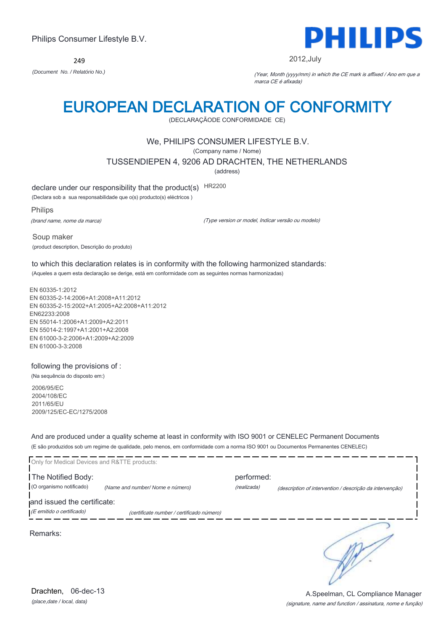249



2012,July

*(Document No. / Relatório No.)* (Year, Month (yyyy/mm) in which the CE mark is affixed / Ano em que a marca CE é afixada)

# EUROPEAN DECLARATION OF CONFORMITY

(DECLARAÇÃODE CONFORMIDADE CE)

### We, PHILIPS CONSUMER LIFESTYLE B.V.

(Company name / Nome)

TUSSENDIEPEN 4, 9206 AD DRACHTEN, THE NETHERLANDS

(address)

declare under our responsibility that the product(s) HR2200

(Declara sob a sua responsabilidade que o(s) producto(s) eléctricos )

Philips

(brand name, nome da marca)

(Type version or model, Indicar versão ou modelo)

Soup maker (product description, Descrição do produto)

to which this declaration relates is in conformity with the following harmonized standards: (Aqueles a quem esta declaração se derige, está em conformidade com as seguintes normas harmonizadas)

EN 60335-1:2012 EN 60335-2-14:2006+A1:2008+A11:2012 EN 60335-2-15:2002+A1:2005+A2:2008+A11:2012 EN62233:2008 EN 55014-1:2006+A1:2009+A2:2011 EN 55014-2:1997+A1:2001+A2:2008 EN 61000-3-2:2006+A1:2009+A2:2009 EN 61000-3-3:2008

### following the provisions of :

(Na sequência do disposto em:)

2006/95/EC 2004/108/EC 2011/65/EU 2009/125/EC-EC/1275/2008

And are produced under a quality scheme at least in conformity with ISO 9001 or CENELEC Permanent Documents (E são produzidos sob um regime de qualidade, pelo menos, em conformidade com a norma ISO 9001 ou Documentos Permanentes CENELEC)

| Only for Medical Devices and R&TTE products: |                                           |             |                                                          |
|----------------------------------------------|-------------------------------------------|-------------|----------------------------------------------------------|
| The Notified Body:                           |                                           | performed:  |                                                          |
| (O organismo notificado)                     | (Name and number/ Nome e número)          | (realizada) | (description of intervention / descrição da intervenção) |
| and issued the certificate:                  |                                           |             |                                                          |
| (E emitido o certificado)                    | (certificate number / certificado número) |             |                                                          |
|                                              |                                           |             |                                                          |
| Remarks:                                     |                                           |             |                                                          |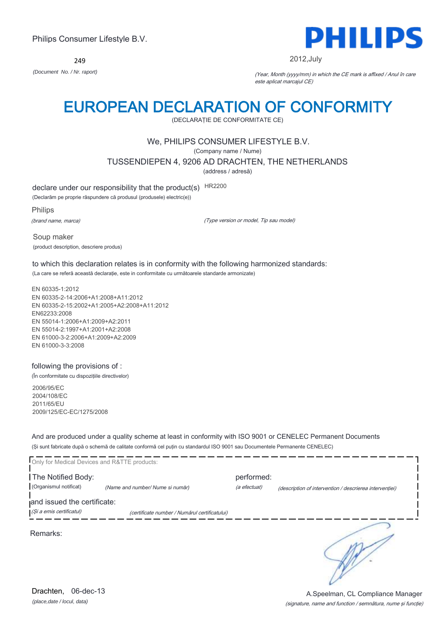249



#### 2012,July

*(Document No. / Nr. raport)* (Year, Month (yyyy/mm) in which the CE mark is affixed / Anul în care este aplicat marcajul CE)

## EUROPEAN DECLARATION OF CONFORMITY

(DECLARAŢIE DE CONFORMITATE CE)

### We, PHILIPS CONSUMER LIFESTYLE B.V.

(Company name / Nume)

TUSSENDIEPEN 4, 9206 AD DRACHTEN, THE NETHERLANDS

(address / adresă)

declare under our responsibility that the product(s) HR2200

(Declarăm pe proprie răspundere că produsul (produsele) electric(e))

Philips

(brand name, marca)

(Type version or model, Tip sau model)

Soup maker (product description, descriere produs)

to which this declaration relates is in conformity with the following harmonized standards: (La care se referă această declaraţie, este in conformitate cu următoarele standarde armonizate)

EN 60335-1:2012 EN 60335-2-14:2006+A1:2008+A11:2012 EN 60335-2-15:2002+A1:2005+A2:2008+A11:2012 EN62233:2008 EN 55014-1:2006+A1:2009+A2:2011 EN 55014-2:1997+A1:2001+A2:2008 EN 61000-3-2:2006+A1:2009+A2:2009 EN 61000-3-3:2008

#### following the provisions of :

(În conformitate cu dispoziţiile directivelor)

2006/95/EC 2004/108/EC 2011/65/EU 2009/125/EC-EC/1275/2008

And are produced under a quality scheme at least in conformity with ISO 9001 or CENELEC Permanent Documents (Şi sunt fabricate după o schemă de calitate conformă cel puţin cu standardul ISO 9001 sau Documentele Permanente CENELEC)

| Only for Medical Devices and R&TTE products:            |                                               |                            |                                                         |  |  |
|---------------------------------------------------------|-----------------------------------------------|----------------------------|---------------------------------------------------------|--|--|
| The Notified Body:<br>(Organismul notificat)            | (Name and number/ Nume si număr)              | performed:<br>(a efectuat) | (description of intervention / descrierea interventiei) |  |  |
| and issued the certificate:<br>(Și a emis certificatul) | (certificate number / Numărul certificatului) |                            |                                                         |  |  |
| Remarks:                                                |                                               |                            |                                                         |  |  |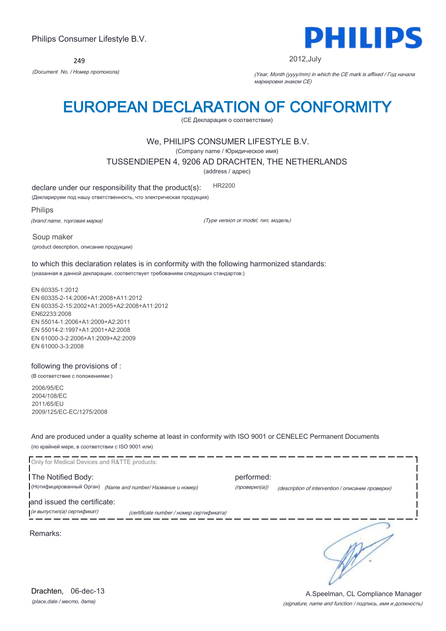249



#### 2012,July

*(Document No. / Номер протокола)* (Year, Month (yyyy/mm) in which the CE mark is affixed / Год начала маркировки знаком CE)

# EUROPEAN DECLARATION OF CONFORMITY

(CE Декларация о соответствии)

### We, PHILIPS CONSUMER LIFESTYLE B.V.

(Company name / Юридическое имя)

TUSSENDIEPEN 4, 9206 AD DRACHTEN, THE NETHERLANDS

(address / адрес)

declare under our responsibility that the product(s): HR2200

(Декларируем под нашу ответственность, что электрическая продукция)

Philips

(brand name, торговая марка)

(Type version or model, тип, модель)

Soup maker (product description, описание продукции)

to which this declaration relates is in conformity with the following harmonized standards: (указанная в данной декларации, соответствует требованиям следующих стандартов:)

EN 60335-1:2012 EN 60335-2-14:2006+A1:2008+A11:2012 EN 60335-2-15:2002+A1:2005+A2:2008+A11:2012 EN62233:2008 EN 55014-1:2006+A1:2009+A2:2011 EN 55014-2:1997+A1:2001+A2:2008 EN 61000-3-2:2006+A1:2009+A2:2009 EN 61000-3-3:2008

#### following the provisions of :

(В соответствие с положениями:)

2006/95/EC 2004/108/EC 2011/65/EU 2009/125/EC-EC/1275/2008

And are produced under a quality scheme at least in conformity with ISO 9001 or CENELEC Permanent Documents (по крайней мере, в соответствии с ISO 9001 или)

Only for Medical Devices and R&TTE products: The Notified Body: performed: (Нотифицированный Орган) *(Name and number/ Название и номер)* (проверил(а)) (description of intervention / описание проверки) and issued the certificate: (и выпустил(а) сертификат) (certificate number / номер сертификата) ∍ Remarks:

*(place,date / место, дата)* Drachten, 06-dec-13

#### (signature, name and function / подпись, имя и должность) A.Speelman, CL Compliance Manager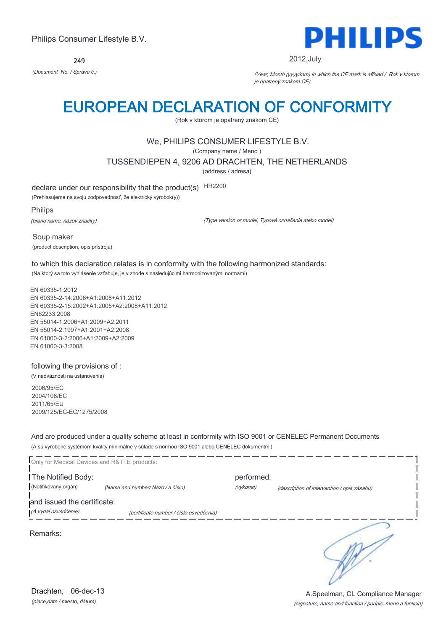249



#### 2012,July

*(Document No. / Správa č.)* (Year, Month (yyyy/mm) in which the CE mark is affixed / Rok v ktorom je opatrený znakom CE)

## EUROPEAN DECLARATION OF CONFORMITY

(Rok v ktorom je opatrený znakom CE)

## We, PHILIPS CONSUMER LIFESTYLE B.V.

(Company name / Meno )

TUSSENDIEPEN 4, 9206 AD DRACHTEN, THE NETHERLANDS

(address / adresa)

declare under our responsibility that the product(s) HR2200

(Prehlasujeme na svoju zodpovednosť, že elektrický výrobok(y))

Philips

(brand name, názov značky)

(Type version or model, Typové označenie alebo model)

Soup maker (product description, opis prístroja)

to which this declaration relates is in conformity with the following harmonized standards: (Na ktorý sa toto vyhlásenie vzťahuje, je v zhode s nasledujúcimi harmonizovanými normami)

EN 60335-1:2012 EN 60335-2-14:2006+A1:2008+A11:2012 EN 60335-2-15:2002+A1:2005+A2:2008+A11:2012 EN62233:2008 EN 55014-1:2006+A1:2009+A2:2011 EN 55014-2:1997+A1:2001+A2:2008 EN 61000-3-2:2006+A1:2009+A2:2009 EN 61000-3-3:2008

### following the provisions of :

(V nadväznosti na ustanovenia)

2006/95/EC 2004/108/EC 2011/65/EU 2009/125/EC-EC/1275/2008

And are produced under a quality scheme at least in conformity with ISO 9001 or CENELEC Permanent Documents (A sú vyrobené systémom kvality minimálne v súlade s normou ISO 9001 alebo CENELEC dokumentmi)

| Only for Medical Devices and R&TTE products:        |                                         |                         |                                             |
|-----------------------------------------------------|-----------------------------------------|-------------------------|---------------------------------------------|
| The Notified Body:<br>(Notifikovaný orgán)          | (Name and number/ Názov a číslo)        | performed:<br>(vykonal) | (description of intervention / opis zásahu) |
| and issued the certificate:<br>(A vydal osvedčenie) | (certificate number / číslo osvedčenia) |                         |                                             |
| Remarks:                                            |                                         |                         |                                             |
|                                                     |                                         |                         |                                             |
|                                                     |                                         |                         |                                             |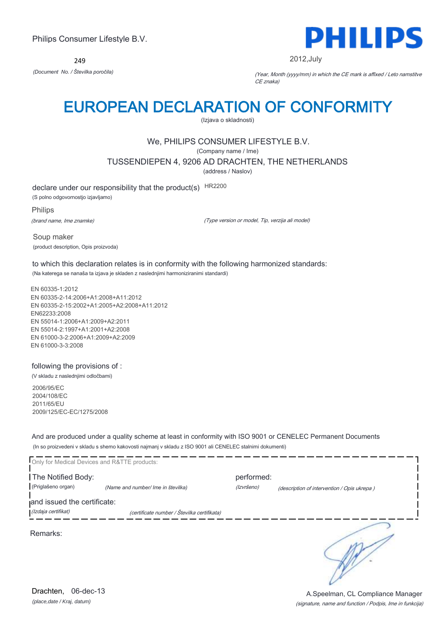249



2012,July

*(Document No. / Številka poročila)* (Year, Month (yyyy/mm) in which the CE mark is affixed / Leto namstitve CE znaka)

# EUROPEAN DECLARATION OF CONFORMITY

(Izjava o skladnosti)

## We, PHILIPS CONSUMER LIFESTYLE B.V.

(Company name / Ime)

TUSSENDIEPEN 4, 9206 AD DRACHTEN, THE NETHERLANDS

(address / Naslov)

declare under our responsibility that the product(s) HR2200

(S polno odgovornostjo izjavljamo)

Philips

(brand name, Ime znamke)

(Type version or model, Tip, verzija ali model)

Soup maker (product description, Opis proizvoda)

to which this declaration relates is in conformity with the following harmonized standards: (Na katerega se nanaša ta izjava je skladen z naslednjimi harmoniziranimi standardi)

EN 60335-1:2012 EN 60335-2-14:2006+A1:2008+A11:2012 EN 60335-2-15:2002+A1:2005+A2:2008+A11:2012 EN62233:2008 EN 55014-1:2006+A1:2009+A2:2011 EN 55014-2:1997+A1:2001+A2:2008 EN 61000-3-2:2006+A1:2009+A2:2009 EN 61000-3-3:2008

### following the provisions of :

(V skladu z naslednjimi odločbami)

2006/95/EC 2004/108/EC 2011/65/EU 2009/125/EC-EC/1275/2008

And are produced under a quality scheme at least in conformity with ISO 9001 or CENELEC Permanent Documents (In so proizvedeni v skladu s shemo kakovosti najmanj v skladu z ISO 9001 ali CENELEC stalnimi dokumenti)

| Only for Medical Devices and R&TTE products:       |                                             |                          |                                             |  |
|----------------------------------------------------|---------------------------------------------|--------------------------|---------------------------------------------|--|
| The Notified Body:<br>(Priglašeno organ)           | (Name and number/ Ime in številka)          | performed:<br>(Izvršeno) | (description of intervention / Opis ukrepa) |  |
| and issued the certificate:<br>(Izdaja certifikat) | (certificate number / Številka certifikata) |                          |                                             |  |
| Remarks:                                           |                                             |                          |                                             |  |
|                                                    |                                             |                          |                                             |  |
|                                                    |                                             |                          |                                             |  |

*(place,date / Kraj, datum)* Drachten, 06-dec-13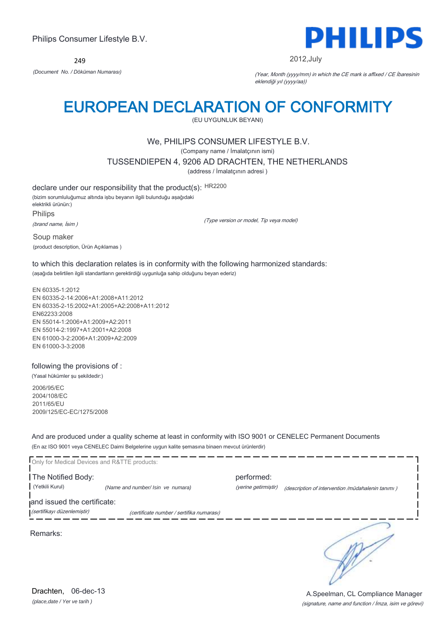$249$ 



#### 2012,July

*(Document No. / Döküman Numarası)* (Year, Month (yyyy/mm) in which the CE mark is affixed / CE İbaresinin eklendiği yıl (yyyy/aa))

# EUROPEAN DECLARATION OF CONFORMITY

(EU UYGUNLUK BEYANI)

### We, PHILIPS CONSUMER LIFESTYLE B.V.

(Company name / İmalatçının ismi)

TUSSENDIEPEN 4, 9206 AD DRACHTEN, THE NETHERLANDS

(address / İmalatçının adresi )

declare under our responsibility that the product(s): HR2200

(bizim sorumluluğumuz altında işbu beyanın ilgili bulunduğu aşağıdaki elektrikli ürünün:)

Philips

(brand name, İsim )

(Type version or model, Tip veya model)

Soup maker (product description, Ürün Açıklamas )

to which this declaration relates is in conformity with the following harmonized standards: (aşağıda belirtilen ilgili standartların gerektirdiği uygunluğa sahip olduğunu beyan ederiz)

EN 60335-1:2012 EN 60335-2-14:2006+A1:2008+A11:2012 EN 60335-2-15:2002+A1:2005+A2:2008+A11:2012 EN62233:2008 EN 55014-1:2006+A1:2009+A2:2011 EN 55014-2:1997+A1:2001+A2:2008 EN 61000-3-2:2006+A1:2009+A2:2009 EN 61000-3-3:2008

### following the provisions of :

(Yasal hükümler şu şekildedir:)

2006/95/EC 2004/108/EC 2011/65/EU 2009/125/EC-EC/1275/2008

And are produced under a quality scheme at least in conformity with ISO 9001 or CENELEC Permanent Documents (En az ISO 9001 veya CENELEC Daimi Belgelerine uygun kalite şemasına binaen mevcut ürünlerdir)



*(place,date / Yer ve tarih )* Drachten, 06-dec-13

#### (signature, name and function / İmza, isim ve görevi) A.Speelman, CL Compliance Manager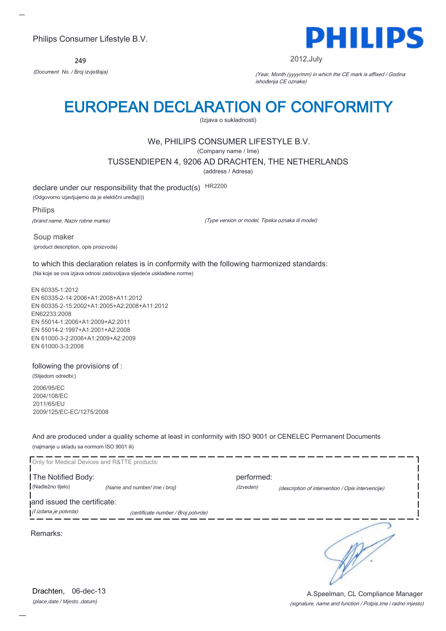249



2012,July

*(Document No. / Broj izvještaja)* (Year, Month (yyyy/mm) in which the CE mark is affixed / Godina ishođenja CE oznake)

# EUROPEAN DECLARATION OF CONFORMITY

(Izjava o sukladnosti)

## We, PHILIPS CONSUMER LIFESTYLE B.V.

(Company name / Ime)

TUSSENDIEPEN 4, 9206 AD DRACHTEN, THE NETHERLANDS

(address / Adresa)

declare under our responsibility that the product(s) HR2200

(Odgovorno izjavljujemo da je elektični uređaj(i))

Philips

(brand name, Naziv robne marke)

(Type version or model, Tipska oznaka ili model)

Soup maker (product description, opis proizvoda)

to which this declaration relates is in conformity with the following harmonized standards: (Na koje se ova izjava odnosi zadovoljava sljedeće usklađene norme)

EN 60335-1:2012 EN 60335-2-14:2006+A1:2008+A11:2012 EN 60335-2-15:2002+A1:2005+A2:2008+A11:2012 EN62233:2008 EN 55014-1:2006+A1:2009+A2:2011 EN 55014-2:1997+A1:2001+A2:2008 EN 61000-3-2:2006+A1:2009+A2:2009 EN 61000-3-3:2008

### following the provisions of :

(Slijedom odredbi:) 2006/95/EC

2004/108/EC 2011/65/EU 2009/125/EC-EC/1275/2008

And are produced under a quality scheme at least in conformity with ISO 9001 or CENELEC Permanent Documents (najmanje u skladu sa normom ISO 9001 ili)



*(place,date / Mjesto ,datum)* Drachten, 06-dec-13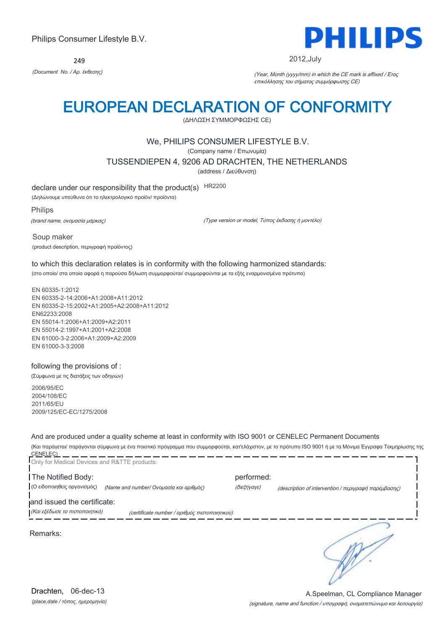249



#### 2012,July

*(Document No. / Αρ. έκθεσης)* (Year, Month (yyyy/mm) in which the CE mark is affixed / Έτος επικόλλησης του σήματος συμμόρφωσης CE)

# EUROPEAN DECLARATION OF CONFORMITY

(ΔΗΛΩΣΗ ΣΥΜΜΟΡΦΩΣΗΣ CE)

### We, PHILIPS CONSUMER LIFESTYLE B.V.

(Company name / Επωνυμία)

TUSSENDIEPEN 4, 9206 AD DRACHTEN, THE NETHERLANDS

(address / Διεύθυνση)

declare under our responsibility that the product(s) HR2200

(Δηλώνουμε υπεύθυνα ότι το ηλεκτρολογικό προϊόν/ προϊόντα)

Philips

(brand name, ονομασία μάρκας)

(Type version or model, Τύπος έκδοσης ή μοντέλο)

Soup maker (product description, περιγραφή προϊόντος)

#### to which this declaration relates is in conformity with the following harmonized standards: (στο οποίο/ στα οποία αφορά η παρούσα δήλωση συμμορφούται/ συμμορφούνται με τα εξής εναρμονισμένα πρότυπα)

EN 60335-1:2012 EN 60335-2-14:2006+A1:2008+A11:2012 EN 60335-2-15:2002+A1:2005+A2:2008+A11:2012 EN62233:2008 EN 55014-1:2006+A1:2009+A2:2011 EN 55014-2:1997+A1:2001+A2:2008 EN 61000-3-2:2006+A1:2009+A2:2009 EN 61000-3-3:2008

#### following the provisions of :

(Σύμφωνα με τις διατάξεις των οδηγιών)

2006/95/EC 2004/108/EC 2011/65/EU 2009/125/EC-EC/1275/2008

And are produced under a quality scheme at least in conformity with ISO 9001 or CENELEC Permanent Documents

(Και παράγεται/ παράγονται σύμφωνα με ένα ποιοτικό πρόγραμμα που συμμορφούται, κατ'ελάχιστον, με το πρότυπο ISO 9001 ή με τα Μόνιμα Έγγραφα Τεκμηρίωσης της CENELEC) \_\_

| Only for Medical Devices and R&TTE products:                  |                                               |                           |                                                      |
|---------------------------------------------------------------|-----------------------------------------------|---------------------------|------------------------------------------------------|
| The Notified Body:<br>(Ο ειδοποιηθείς οργανισμός)             | (Name and number/ Ονομασία και αριθμός)       | performed:<br>(διεξήγαγε) | (description of intervention / περιγραφή παρέμβασης) |
| and issued the certificate:<br>(Και εξέδωσε το πιστοποιητικό) | (certificate number / αριθμός πιστοποιητικού) |                           |                                                      |
| Remarks:                                                      |                                               |                           |                                                      |
|                                                               |                                               |                           |                                                      |